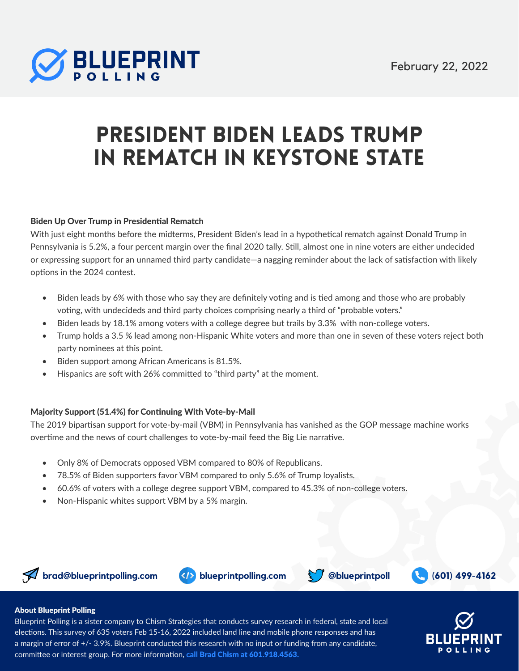

# President Biden Leads Trump in Rematch in Keystone State

Bipart san Support for Vote-by-Mail Has Vanished

#### Biden Up Over Trump in Presidential Rematch

With just eight months before the midterms, President Biden's lead in a hypothetical rematch against Donald Trump in Pennsylvania is 5.2%, a four percent margin over the final 2020 tally. Still, almost one in nine voters are either undecided or expressing support for an unnamed third party candidate—a nagging reminder about the lack of satisfaction with likely options in the 2024 contest.

- Biden leads by 6% with those who say they are definitely voting and is tied among and those who are probably voting, with undecideds and third party choices comprising nearly a third of "probable voters."
- Biden leads by 18.1% among voters with a college degree but trails by 3.3% with non-college voters.
- Trump holds a 3.5 % lead among non-Hispanic White voters and more than one in seven of these voters reject both party nominees at this point.
- Biden support among African Americans is 81.5%.
- Hispanics are soft with 26% committed to "third party" at the moment.

#### Majority Support (51.4%) for Continuing With Vote-by-Mail

The 2019 bipartisan support for vote-by-mail (VBM) in Pennsylvania has vanished as the GOP message machine works overtime and the news of court challenges to vote-by-mail feed the Big Lie narrative.

- Only 8% of Democrats opposed VBM compared to 80% of Republicans.
- 78.5% of Biden supporters favor VBM compared to only 5.6% of Trump loyalists.
- 60.6% of voters with a college degree support VBM, compared to 45.3% of non-college voters.
- Non-Hispanic whites support VBM by a 5% margin.







#### About Blueprint Polling

Blueprint Polling is a sister company to Chism Strategies that conducts survey research in federal, state and local elections. This survey of 635 voters Feb 15-16, 2022 included land line and mobile phone responses and has a margin of error of +/- 3.9%. Blueprint conducted this research with no input or funding from any candidate, committee or interest group. For more information, call Brad Chism at 601.918.4563.

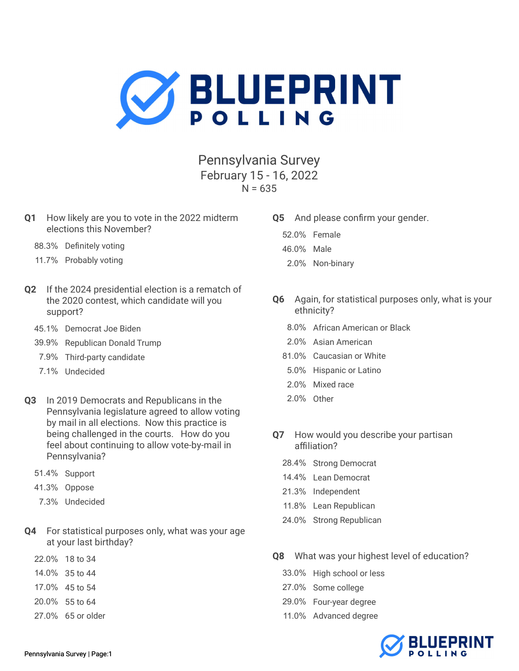

Pennsylvania Survey February 15 - 16, 2022  $N = 635$ 

- Q1 How likely are you to vote in the 2022 midterm elections this November?
	- 88.3% Definitely voting
	- 11.7% Probably voting
- Q2 If the 2024 presidential election is a rematch of the 2020 contest, which candidate will you support?
	- 45.1% Democrat Joe Biden
	- 39.9% Republican Donald Trump
	- 7.9% Third-party candidate
	- 7.1% Undecided
- Q3 In 2019 Democrats and Republicans in the Pennsylvania legislature agreed to allow voting by mail in all elections. Now this practice is being challenged in the courts. How do you feel about continuing to allow vote-by-mail in Pennsylvania?
	- 51.4% Support
	- 41.3% Oppose
	- 7.3% Undecided
- Q4 For statistical purposes only, what was your age at your last birthday?
	- 22.0% 18 to 34
	- 14.0% 35 to 44
	- 17.0% 45 to 54
	- 20.0% 55 to 64
	- 27.0% 65 or older
- Q5 And please confirm your gender.
	- 52.0% Female
	- 46.0% Male
	- 2.0% Non-binary
- Q6 Again, for statistical purposes only, what is your ethnicity?
	- 8.0% African American or Black
	- 2.0% Asian American
	- 81.0% Caucasian or White
	- 5.0% Hispanic or Latino
	- 2.0% Mixed race
	- 2.0% Other
- Q7 How would you describe your partisan affiliation?
	- 28.4% Strong Democrat
	- 14.4% Lean Democrat
	- 21.3% Independent
	- 11.8% Lean Republican
	- 24.0% Strong Republican
- Q8 What was your highest level of education?
	- 33.0% High school or less
	- 27.0% Some college
	- 29.0% Four-year degree
	- 11.0% Advanced degree

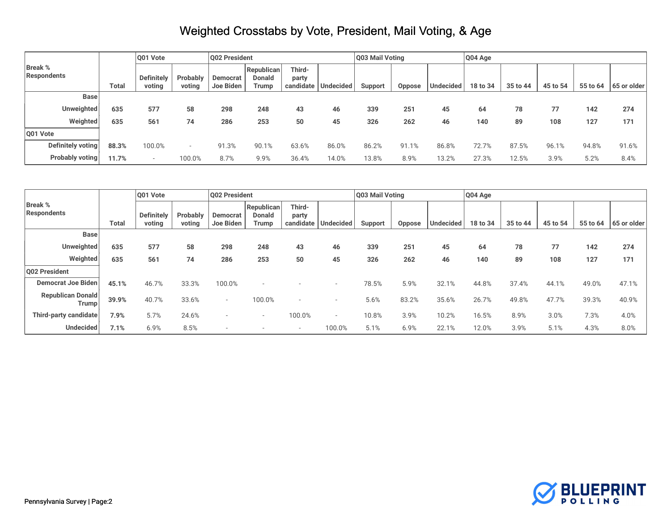|                               |              | Q01 Vote                    |                    | Q02 President                |                                      |                 |                       | Q03 Mail Voting |        |                  | Q04 Age  |          |          |          |             |
|-------------------------------|--------------|-----------------------------|--------------------|------------------------------|--------------------------------------|-----------------|-----------------------|-----------------|--------|------------------|----------|----------|----------|----------|-------------|
| <b>Break %</b><br>Respondents | <b>Total</b> | <b>Definitely</b><br>voting | Probably<br>voting | <b>Democrat</b><br>Joe Biden | Republican<br><b>Donald</b><br>Trump | Third-<br>party | candidate   Undecided | <b>Support</b>  | Oppose | <b>Undecided</b> | 18 to 34 | 35 to 44 | 45 to 54 | 55 to 64 | 65 or older |
| <b>Base</b>                   |              |                             |                    |                              |                                      |                 |                       |                 |        |                  |          |          |          |          |             |
| Unweighted                    | 635          | 577                         | 58                 | 298                          | 248                                  | 43              | 46                    | 339             | 251    | 45               | 64       | 78       | 77       | 142      | 274         |
| Weighted                      | 635          | 561                         | 74                 | 286                          | 253                                  | 50              | 45                    | 326             | 262    | 46               | 140      | 89       | 108      | 127      | 171         |
| Q01 Vote                      |              |                             |                    |                              |                                      |                 |                       |                 |        |                  |          |          |          |          |             |
| Definitely voting             | 88.3%        | 100.0%                      |                    | 91.3%                        | 90.1%                                | 63.6%           | 86.0%                 | 86.2%           | 91.1%  | 86.8%            | 72.7%    | 87.5%    | 96.1%    | 94.8%    | 91.6%       |
| Probably voting               | 11.7%        |                             | 100.0%             | 8.7%                         | 9.9%                                 | 36.4%           | 14.0%                 | 13.8%           | 8.9%   | 13.2%            | 27.3%    | 12.5%    | 3.9%     | 5.2%     | 8.4%        |

|                                      |              | 001 Vote                    |                    | Q02 President            |                                             |                          |                          | Q03 Mail Voting |               |                  | Q04 Age  |          |          |          |             |
|--------------------------------------|--------------|-----------------------------|--------------------|--------------------------|---------------------------------------------|--------------------------|--------------------------|-----------------|---------------|------------------|----------|----------|----------|----------|-------------|
| <b>Break %</b><br><b>Respondents</b> | <b>Total</b> | <b>Definitely</b><br>voting | Probably<br>voting | Democrat<br>Joe Biden    | <b>Republican</b><br><b>Donald</b><br>Trump | Third-<br>party          | candidate Undecided      | Support         | <b>Oppose</b> | <b>Undecided</b> | 18 to 34 | 35 to 44 | 45 to 54 | 55 to 64 | 65 or older |
| <b>Base</b>                          |              |                             |                    |                          |                                             |                          |                          |                 |               |                  |          |          |          |          |             |
| <b>Unweighted</b>                    | 635          | 577                         | 58                 | 298                      | 248                                         | 43                       | 46                       | 339             | 251           | 45               | 64       | 78       | 77       | 142      | 274         |
| Weighted                             | 635          | 561                         | 74                 | 286                      | 253                                         | 50                       | 45                       | 326             | 262           | 46               | 140      | 89       | 108      | 127      | 171         |
| Q02 President                        |              |                             |                    |                          |                                             |                          |                          |                 |               |                  |          |          |          |          |             |
| <b>Democrat Joe Biden</b>            | 45.1%        | 46.7%                       | 33.3%              | 100.0%                   |                                             |                          |                          | 78.5%           | 5.9%          | 32.1%            | 44.8%    | 37.4%    | 44.1%    | 49.0%    | 47.1%       |
| <b>Republican Donald</b><br>Trump    | 39.9%        | 40.7%                       | 33.6%              | $-$                      | 100.0%                                      |                          |                          | 5.6%            | 83.2%         | 35.6%            | 26.7%    | 49.8%    | 47.7%    | 39.3%    | 40.9%       |
| Third-party candidate                | 7.9%         | 5.7%                        | 24.6%              |                          |                                             | 100.0%                   | $\overline{\phantom{a}}$ | 10.8%           | 3.9%          | 10.2%            | 16.5%    | 8.9%     | 3.0%     | 7.3%     | 4.0%        |
| <b>Undecided</b>                     | 7.1%         | 6.9%                        | 8.5%               | $\overline{\phantom{a}}$ |                                             | $\overline{\phantom{a}}$ | 100.0%                   | 5.1%            | 6.9%          | 22.1%            | 12.0%    | 3.9%     | 5.1%     | 4.3%     | 8.0%        |

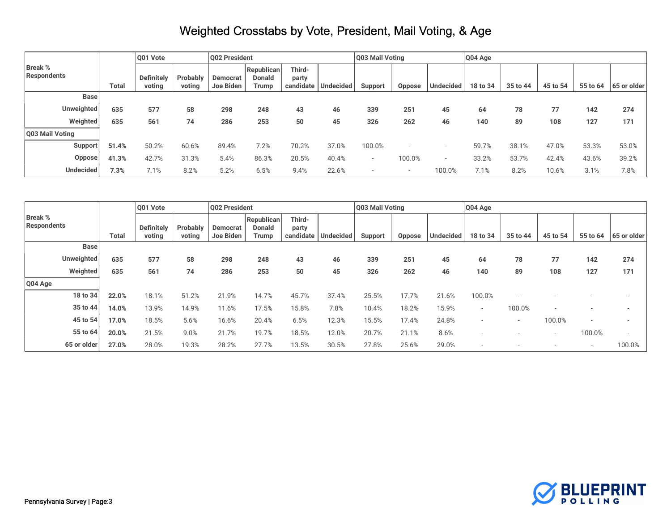|                               |       | Q01 Vote                    |                    | Q02 President         |                                      |                 |                       | Q03 Mail Voting          |        |           | Q04 Age  |          |          |          |             |
|-------------------------------|-------|-----------------------------|--------------------|-----------------------|--------------------------------------|-----------------|-----------------------|--------------------------|--------|-----------|----------|----------|----------|----------|-------------|
| <b>Break %</b><br>Respondents | Total | <b>Definitely</b><br>voting | Probably<br>voting | Democrat<br>Joe Biden | Republican<br><b>Donald</b><br>Trump | Third-<br>party | candidate   Undecided | Support                  | Oppose | Undecided | 18 to 34 | 35 to 44 | 45 to 54 | 55 to 64 | 65 or older |
| Base                          |       |                             |                    |                       |                                      |                 |                       |                          |        |           |          |          |          |          |             |
| <b>Unweighted</b>             | 635   | 577                         | 58                 | 298                   | 248                                  | 43              | 46                    | 339                      | 251    | 45        | 64       | 78       | 77       | 142      | 274         |
| Weighted                      | 635   | 561                         | 74                 | 286                   | 253                                  | 50              | 45                    | 326                      | 262    | 46        | 140      | 89       | 108      | 127      | 171         |
| Q03 Mail Voting               |       |                             |                    |                       |                                      |                 |                       |                          |        |           |          |          |          |          |             |
| <b>Support</b>                | 51.4% | 50.2%                       | 60.6%              | 89.4%                 | 7.2%                                 | 70.2%           | 37.0%                 | 100.0%                   |        |           | 59.7%    | 38.1%    | 47.0%    | 53.3%    | 53.0%       |
| Oppose                        | 41.3% | 42.7%                       | 31.3%              | 5.4%                  | 86.3%                                | 20.5%           | 40.4%                 | $\overline{\phantom{a}}$ | 100.0% |           | 33.2%    | 53.7%    | 42.4%    | 43.6%    | 39.2%       |
| <b>Undecided</b>              | 7.3%  | 7.1%                        | 8.2%               | 5.2%                  | 6.5%                                 | 9.4%            | 22.6%                 |                          |        | 100.0%    | 7.1%     | 8.2%     | 10.6%    | 3.1%     | 7.8%        |

|                               |       | 001 Vote                    |                    | Q02 President                |                                      |                              |                  | Q03 Mail Voting |        |                  | Q04 Age                  |                          |                          |                          |                          |
|-------------------------------|-------|-----------------------------|--------------------|------------------------------|--------------------------------------|------------------------------|------------------|-----------------|--------|------------------|--------------------------|--------------------------|--------------------------|--------------------------|--------------------------|
| <b>Break %</b><br>Respondents | Total | <b>Definitely</b><br>voting | Probably<br>voting | <b>Democrat</b><br>Joe Biden | Republican<br><b>Donald</b><br>Trump | Third-<br>party<br>candidate | <b>Undecided</b> | Support         | Oppose | <b>Undecided</b> | 18 to 34                 | 35 to 44                 | 45 to 54                 | 55 to 64                 | 65 or older              |
| <b>Base</b>                   |       |                             |                    |                              |                                      |                              |                  |                 |        |                  |                          |                          |                          |                          |                          |
| Unweighted                    | 635   | 577                         | 58                 | 298                          | 248                                  | 43                           | 46               | 339             | 251    | 45               | 64                       | 78                       | 77                       | 142                      | 274                      |
| Weighted                      | 635   | 561                         | 74                 | 286                          | 253                                  | 50                           | 45               | 326             | 262    | 46               | 140                      | 89                       | 108                      | 127                      | 171                      |
| Q04 Age                       |       |                             |                    |                              |                                      |                              |                  |                 |        |                  |                          |                          |                          |                          |                          |
| 18 to 34                      | 22.0% | 18.1%                       | 51.2%              | 21.9%                        | 14.7%                                | 45.7%                        | 37.4%            | 25.5%           | 17.7%  | 21.6%            | 100.0%                   |                          |                          |                          |                          |
| 35 to 44                      | 14.0% | 13.9%                       | 14.9%              | 11.6%                        | 17.5%                                | 15.8%                        | 7.8%             | 10.4%           | 18.2%  | 15.9%            | $\overline{\phantom{a}}$ | 100.0%                   |                          |                          |                          |
| 45 to 54                      | 17.0% | 18.5%                       | 5.6%               | 16.6%                        | 20.4%                                | 6.5%                         | 12.3%            | 15.5%           | 17.4%  | 24.8%            |                          | $\overline{\phantom{a}}$ | 100.0%                   | $\overline{\phantom{a}}$ |                          |
| 55 to 64                      | 20.0% | 21.5%                       | 9.0%               | 21.7%                        | 19.7%                                | 18.5%                        | 12.0%            | 20.7%           | 21.1%  | 8.6%             |                          |                          | $\overline{\phantom{a}}$ | 100.0%                   | $\overline{\phantom{a}}$ |
| 65 or older                   | 27.0% | 28.0%                       | 19.3%              | 28.2%                        | 27.7%                                | 13.5%                        | 30.5%            | 27.8%           | 25.6%  | 29.0%            | $\overline{\phantom{a}}$ |                          | $\overline{\phantom{a}}$ | $\overline{\phantom{a}}$ | 100.0%                   |

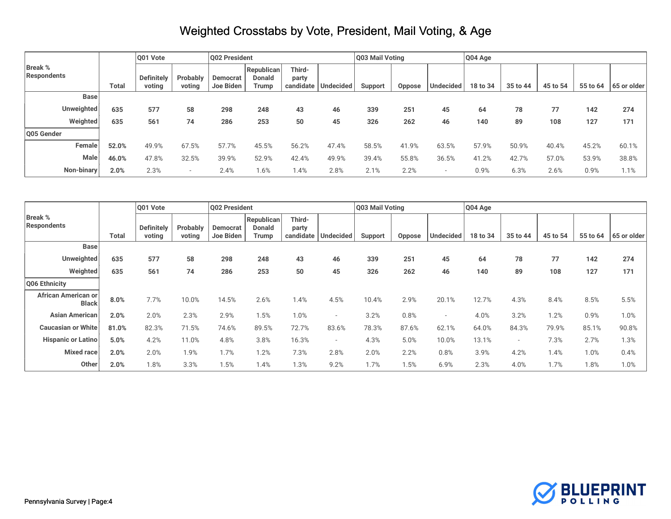|                               |              | Q01 Vote                    |                    | Q02 President         |                                             |                              |                  | Q03 Mail Voting |        |           | Q04 Age  |          |          |          |             |
|-------------------------------|--------------|-----------------------------|--------------------|-----------------------|---------------------------------------------|------------------------------|------------------|-----------------|--------|-----------|----------|----------|----------|----------|-------------|
| <b>Break %</b><br>Respondents | <b>Total</b> | <b>Definitely</b><br>voting | Probably<br>voting | Democrat<br>Joe Biden | <b>Republican</b><br><b>Donald</b><br>Trump | Third-<br>party<br>candidate | <b>Undecided</b> | Support         | Oppose | Undecided | 18 to 34 | 35 to 44 | 45 to 54 | 55 to 64 | 65 or older |
| <b>Base</b>                   |              |                             |                    |                       |                                             |                              |                  |                 |        |           |          |          |          |          |             |
| <b>Unweighted</b>             | 635          | 577                         | 58                 | 298                   | 248                                         | 43                           | 46               | 339             | 251    | 45        | 64       | 78       | 77       | 142      | 274         |
| Weighted                      | 635          | 561                         | 74                 | 286                   | 253                                         | 50                           | 45               | 326             | 262    | 46        | 140      | 89       | 108      | 127      | 171         |
| Q05 Gender                    |              |                             |                    |                       |                                             |                              |                  |                 |        |           |          |          |          |          |             |
| Female                        | 52.0%        | 49.9%                       | 67.5%              | 57.7%                 | 45.5%                                       | 56.2%                        | 47.4%            | 58.5%           | 41.9%  | 63.5%     | 57.9%    | 50.9%    | 40.4%    | 45.2%    | 60.1%       |
| Male                          | 46.0%        | 47.8%                       | 32.5%              | 39.9%                 | 52.9%                                       | 42.4%                        | 49.9%            | 39.4%           | 55.8%  | 36.5%     | 41.2%    | 42.7%    | 57.0%    | 53.9%    | 38.8%       |
| Non-binary                    | 2.0%         | 2.3%                        |                    | 2.4%                  | 1.6%                                        | 1.4%                         | 2.8%             | 2.1%            | 2.2%   |           | 0.9%     | 6.3%     | 2.6%     | 0.9%     | 1.1%        |

|                                      |              | Q01 Vote                    |                    | Q02 President         |                                             |                 |                     | Q03 Mail Voting |               |                          | Q04 Age  |                          |          |          |             |
|--------------------------------------|--------------|-----------------------------|--------------------|-----------------------|---------------------------------------------|-----------------|---------------------|-----------------|---------------|--------------------------|----------|--------------------------|----------|----------|-------------|
| <b>Break %</b><br><b>Respondents</b> | <b>Total</b> | <b>Definitely</b><br>voting | Probably<br>voting | Democrat<br>Joe Biden | Republican<br><b>Donald</b><br><b>Trump</b> | Third-<br>party | candidate Undecided | Support         | <b>Oppose</b> | <b>Undecided</b>         | 18 to 34 | 35 to 44                 | 45 to 54 | 55 to 64 | 65 or older |
| <b>Base</b>                          |              |                             |                    |                       |                                             |                 |                     |                 |               |                          |          |                          |          |          |             |
| Unweighted                           | 635          | 577                         | 58                 | 298                   | 248                                         | 43              | 46                  | 339             | 251           | 45                       | 64       | 78                       | 77       | 142      | 274         |
| Weighted                             | 635          | 561                         | 74                 | 286                   | 253                                         | 50              | 45                  | 326             | 262           | 46                       | 140      | 89                       | 108      | 127      | 171         |
| Q06 Ethnicity                        |              |                             |                    |                       |                                             |                 |                     |                 |               |                          |          |                          |          |          |             |
| African American or<br><b>Black</b>  | 8.0%         | 7.7%                        | 10.0%              | 14.5%                 | 2.6%                                        | 1.4%            | 4.5%                | 10.4%           | 2.9%          | 20.1%                    | 12.7%    | 4.3%                     | 8.4%     | 8.5%     | 5.5%        |
| <b>Asian American</b>                | 2.0%         | 2.0%                        | 2.3%               | 2.9%                  | 1.5%                                        | 1.0%            |                     | 3.2%            | 0.8%          | $\overline{\phantom{a}}$ | 4.0%     | 3.2%                     | 1.2%     | 0.9%     | 1.0%        |
| <b>Caucasian or White</b>            | 81.0%        | 82.3%                       | 71.5%              | 74.6%                 | 89.5%                                       | 72.7%           | 83.6%               | 78.3%           | 87.6%         | 62.1%                    | 64.0%    | 84.3%                    | 79.9%    | 85.1%    | 90.8%       |
| <b>Hispanic or Latino</b>            | 5.0%         | 4.2%                        | 11.0%              | 4.8%                  | 3.8%                                        | 16.3%           |                     | 4.3%            | 5.0%          | 10.0%                    | 13.1%    | $\overline{\phantom{a}}$ | 7.3%     | 2.7%     | 1.3%        |
| Mixed race                           | 2.0%         | 2.0%                        | 1.9%               | 1.7%                  | 1.2%                                        | 7.3%            | 2.8%                | 2.0%            | 2.2%          | 0.8%                     | 3.9%     | 4.2%                     | 1.4%     | 1.0%     | 0.4%        |
| Other                                | 2.0%         | 1.8%                        | 3.3%               | 1.5%                  | 1.4%                                        | 1.3%            | 9.2%                | 1.7%            | 1.5%          | 6.9%                     | 2.3%     | 4.0%                     | 1.7%     | 1.8%     | 1.0%        |

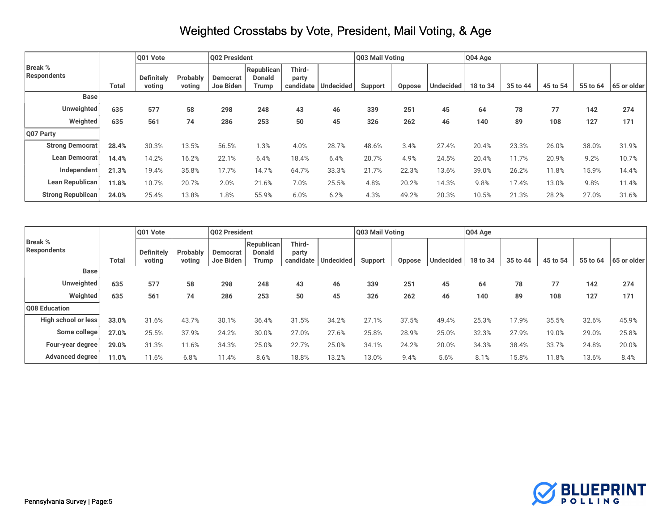|                               |              | O01 Vote                    |                    | Q02 President                |                                      |                 |                       | Q03 Mail Voting |        |                  | Q04 Age  |          |          |          |             |
|-------------------------------|--------------|-----------------------------|--------------------|------------------------------|--------------------------------------|-----------------|-----------------------|-----------------|--------|------------------|----------|----------|----------|----------|-------------|
| <b>Break %</b><br>Respondents | <b>Total</b> | <b>Definitely</b><br>voting | Probably<br>voting | <b>Democrat</b><br>Joe Biden | Republican<br><b>Donald</b><br>Trump | Third-<br>party | candidate   Undecided | Support         | Oppose | <b>Undecided</b> | 18 to 34 | 35 to 44 | 45 to 54 | 55 to 64 | 65 or older |
| <b>Base</b>                   |              |                             |                    |                              |                                      |                 |                       |                 |        |                  |          |          |          |          |             |
| <b>Unweighted</b>             | 635          | 577                         | 58                 | 298                          | 248                                  | 43              | 46                    | 339             | 251    | 45               | 64       | 78       | 77       | 142      | 274         |
| Weighted                      | 635          | 561                         | 74                 | 286                          | 253                                  | 50              | 45                    | 326             | 262    | 46               | 140      | 89       | 108      | 127      | 171         |
| Q07 Party                     |              |                             |                    |                              |                                      |                 |                       |                 |        |                  |          |          |          |          |             |
| <b>Strong Democrat</b>        | 28.4%        | 30.3%                       | 13.5%              | 56.5%                        | 1.3%                                 | 4.0%            | 28.7%                 | 48.6%           | 3.4%   | 27.4%            | 20.4%    | 23.3%    | 26.0%    | 38.0%    | 31.9%       |
| Lean Democrat                 | 14.4%        | 14.2%                       | 16.2%              | 22.1%                        | 6.4%                                 | 18.4%           | 6.4%                  | 20.7%           | 4.9%   | 24.5%            | 20.4%    | 11.7%    | 20.9%    | 9.2%     | 10.7%       |
| Independent                   | 21.3%        | 19.4%                       | 35.8%              | 17.7%                        | 14.7%                                | 64.7%           | 33.3%                 | 21.7%           | 22.3%  | 13.6%            | 39.0%    | 26.2%    | 11.8%    | 15.9%    | 14.4%       |
| Lean Republican               | 11.8%        | 10.7%                       | 20.7%              | 2.0%                         | 21.6%                                | 7.0%            | 25.5%                 | 4.8%            | 20.2%  | 14.3%            | 9.8%     | 17.4%    | 13.0%    | 9.8%     | 11.4%       |
| <b>Strong Republican</b>      | 24.0%        | 25.4%                       | 13.8%              | 1.8%                         | 55.9%                                | 6.0%            | 6.2%                  | 4.3%            | 49.2%  | 20.3%            | 10.5%    | 21.3%    | 28.2%    | 27.0%    | 31.6%       |

|                               |              | O01 Vote                    |                    | Q02 President                |                                      |                 |                       | Q03 Mail Voting |               |                  | Q04 Age  |          |          |          |             |
|-------------------------------|--------------|-----------------------------|--------------------|------------------------------|--------------------------------------|-----------------|-----------------------|-----------------|---------------|------------------|----------|----------|----------|----------|-------------|
| <b>Break %</b><br>Respondents | <b>Total</b> | <b>Definitely</b><br>voting | Probably<br>voting | <b>Democrat</b><br>Joe Biden | Republican<br><b>Donald</b><br>Trump | Third-<br>party | candidate   Undecided | <b>Support</b>  | <b>Oppose</b> | <b>Undecided</b> | 18 to 34 | 35 to 44 | 45 to 54 | 55 to 64 | 65 or older |
| <b>Base</b>                   |              |                             |                    |                              |                                      |                 |                       |                 |               |                  |          |          |          |          |             |
| <b>Unweighted</b>             | 635          | 577                         | 58                 | 298                          | 248                                  | 43              | 46                    | 339             | 251           | 45               | 64       | 78       | 77       | 142      | 274         |
| Weighted                      | 635          | 561                         | 74                 | 286                          | 253                                  | 50              | 45                    | 326             | 262           | 46               | 140      | 89       | 108      | 127      | 171         |
| Q08 Education                 |              |                             |                    |                              |                                      |                 |                       |                 |               |                  |          |          |          |          |             |
| High school or less           | 33.0%        | 31.6%                       | 43.7%              | 30.1%                        | 36.4%                                | 31.5%           | 34.2%                 | 27.1%           | 37.5%         | 49.4%            | 25.3%    | 17.9%    | 35.5%    | 32.6%    | 45.9%       |
| Some college                  | 27.0%        | 25.5%                       | 37.9%              | 24.2%                        | 30.0%                                | 27.0%           | 27.6%                 | 25.8%           | 28.9%         | 25.0%            | 32.3%    | 27.9%    | 19.0%    | 29.0%    | 25.8%       |
| Four-year degree              | 29.0%        | 31.3%                       | 11.6%              | 34.3%                        | 25.0%                                | 22.7%           | 25.0%                 | 34.1%           | 24.2%         | 20.0%            | 34.3%    | 38.4%    | 33.7%    | 24.8%    | 20.0%       |
| Advanced degree               | 11.0%        | 11.6%                       | 6.8%               | 11.4%                        | 8.6%                                 | 18.8%           | 13.2%                 | 13.0%           | 9.4%          | 5.6%             | 8.1%     | 15.8%    | 11.8%    | 13.6%    | 8.4%        |

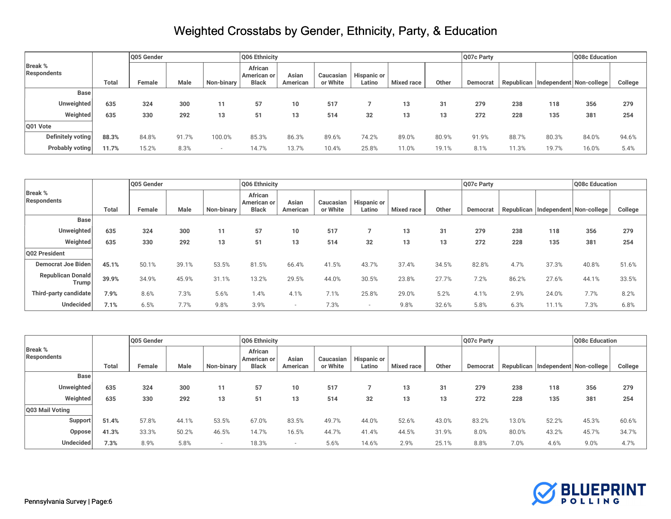|                               |       | Q05 Gender |       |            | Q06 Ethnicity                          |                   |                       |                              |                   |       | Q07c Party |       |       | Q08c Education                         |         |
|-------------------------------|-------|------------|-------|------------|----------------------------------------|-------------------|-----------------------|------------------------------|-------------------|-------|------------|-------|-------|----------------------------------------|---------|
| <b>Break %</b><br>Respondents | Total | Female     | Male  | Non-binary | African<br>American or<br><b>Black</b> | Asian<br>American | Caucasian<br>or White | <b>Hispanic or</b><br>Latino | <b>Mixed race</b> | Other | Democrat   |       |       | Republican   Independent   Non-college | College |
| <b>Base</b>                   |       |            |       |            |                                        |                   |                       |                              |                   |       |            |       |       |                                        |         |
| Unweighted                    | 635   | 324        | 300   | 11         | 57                                     |                   | 517                   |                              | 13                | 31    | 279        | 238   | 118   | 356                                    | 279     |
| Weighted                      | 635   | 330        | 292   | 13         | 5                                      |                   | 514                   | 32                           | 13                | 13    | 272        | 228   | 135   | 381                                    | 254     |
| Q01 Vote                      |       |            |       |            |                                        |                   |                       |                              |                   |       |            |       |       |                                        |         |
| Definitely voting             | 88.3% | 84.8%      | 91.7% | 100.0%     | 85.3%                                  | 86.3%             | 89.6%                 | 74.2%                        | 89.0%             | 80.9% | 91.9%      | 88.7% | 80.3% | 84.0%                                  | 94.6%   |
| Probably voting               | 11.7% | 15.2%      | 8.3%  |            | 14.7%                                  | 13.7%             | 10.4%                 | 25.8%                        | 11.0%             | 19.1% | 8.1%       | 11.3% | 19.7% | 16.0%                                  | 5.4%    |

|                                      |       | Q05 Gender |       |            | Q06 Ethnicity                          |                   |                       |                              |                   |       | Q07c Party |       |       | Q08c Education                     |         |
|--------------------------------------|-------|------------|-------|------------|----------------------------------------|-------------------|-----------------------|------------------------------|-------------------|-------|------------|-------|-------|------------------------------------|---------|
| <b>Break %</b><br><b>Respondents</b> | Total | Female     | Male  | Non-binary | African<br>American or<br><b>Black</b> | Asian<br>American | Caucasian<br>or White | <b>Hispanic or</b><br>Latino | <b>Mixed race</b> | Other | Democrat   |       |       | Republican Independent Non-college | College |
| <b>Base</b>                          |       |            |       |            |                                        |                   |                       |                              |                   |       |            |       |       |                                    |         |
| Unweighted                           | 635   | 324        | 300   | 11         | 57                                     |                   | 517                   |                              | 13                | 31    | 279        | 238   | 118   | 356                                | 279     |
| Weighted                             | 635   | 330        | 292   | 13         | 51                                     | 13                | 514                   | 32                           | 13                | 13    | 272        | 228   | 135   | 381                                | 254     |
| Q02 President                        |       |            |       |            |                                        |                   |                       |                              |                   |       |            |       |       |                                    |         |
| <b>Democrat Joe Biden</b>            | 45.1% | 50.1%      | 39.1% | 53.5%      | 81.5%                                  | 66.4%             | 41.5%                 | 43.7%                        | 37.4%             | 34.5% | 82.8%      | 4.7%  | 37.3% | 40.8%                              | 51.6%   |
| <b>Republican Donald</b><br>Trump    | 39.9% | 34.9%      | 45.9% | 31.1%      | 13.2%                                  | 29.5%             | 44.0%                 | 30.5%                        | 23.8%             | 27.7% | 7.2%       | 86.2% | 27.6% | 44.1%                              | 33.5%   |
| Third-party candidate                | 7.9%  | 8.6%       | 7.3%  | 5.6%       | 1.4%                                   | 4.1%              | 7.1%                  | 25.8%                        | 29.0%             | 5.2%  | 4.1%       | 2.9%  | 24.0% | 7.7%                               | 8.2%    |
| Undecided                            | 7.1%  | 6.5%       | 7.7%  | 9.8%       | 3.9%                                   |                   | 7.3%                  |                              | 9.8%              | 32.6% | 5.8%       | 6.3%  | 11.1% | 7.3%                               | 6.8%    |

|                               |       | Q05 Gender |          |                | Q06 Ethnicity                          |                   |                       |                              |                   |       | Q07c Party |            |       | Q08c Education          |         |
|-------------------------------|-------|------------|----------|----------------|----------------------------------------|-------------------|-----------------------|------------------------------|-------------------|-------|------------|------------|-------|-------------------------|---------|
| <b>Break %</b><br>Respondents | Total | Female     | Male     | Non-binary     | African<br>American or<br><b>Black</b> | Asian<br>American | Caucasian<br>or White | <b>Hispanic or</b><br>Latino | <b>Mixed race</b> | Other | Democrat   | Republican |       | Independent Non-college | College |
| <b>Base</b>                   |       |            |          |                |                                        |                   |                       |                              |                   |       |            |            |       |                         |         |
| Unweighted                    | 635   | 324        | 300      | 11             | 57                                     |                   | 517                   |                              | 13                | 31    | 279        | 238        | 118   | 356                     | 279     |
| Weighted                      | 635   | 330        | 292      | 13             | 5 <sup>1</sup>                         |                   | 514                   | 32                           | 13                | 13    | 272        | 228        | 135   | 381                     | 254     |
| Q03 Mail Voting               |       |            |          |                |                                        |                   |                       |                              |                   |       |            |            |       |                         |         |
| Support                       | 51.4% | 57.8%      | $44.1\%$ | 53.5%          | 67.0%                                  | 83.5%             | 49.7%                 | 44.0%                        | 52.6%             | 43.0% | 83.2%      | 13.0%      | 52.2% | 45.3%                   | 60.6%   |
| <b>Oppose</b>                 | 41.3% | 33.3%      | 50.2%    | 46.5%          | 14.7%                                  | 16.5%             | 44.7%                 | 41.4%                        | 44.5%             | 31.9% | 8.0%       | 80.0%      | 43.2% | 45.7%                   | 34.7%   |
| Undecided                     | 7.3%  | 8.9%       | 5.8%     | $\overline{a}$ | 18.3%                                  |                   | 5.6%                  | 14.6%                        | 2.9%              | 25.1% | 8.8%       | 7.0%       | 4.6%  | 9.0%                    | 4.7%    |

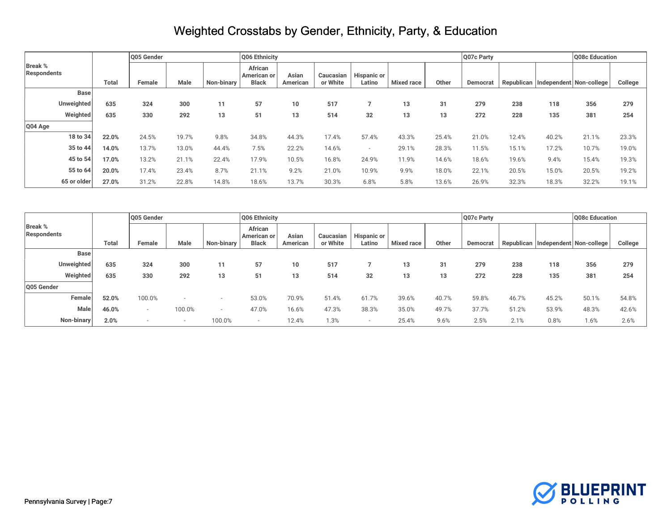|                               |             |              | Q05 Gender |       |            | Q06 Ethnicity          |          |           |                    |                   |       | Q07c Party |       |       | Q08c Education                         |         |
|-------------------------------|-------------|--------------|------------|-------|------------|------------------------|----------|-----------|--------------------|-------------------|-------|------------|-------|-------|----------------------------------------|---------|
| <b>Break %</b><br>Respondents |             |              |            |       |            | African<br>American or | Asian    | Caucasian | <b>Hispanic or</b> |                   |       |            |       |       |                                        |         |
|                               |             | <b>Total</b> | Female     | Male  | Non-binary | <b>Black</b>           | American | or White  | Latino             | <b>Mixed race</b> | Other | Democrat   |       |       | Republican   Independent   Non-college | College |
|                               | <b>Base</b> |              |            |       |            |                        |          |           |                    |                   |       |            |       |       |                                        |         |
|                               | Unweighted  | 635          | 324        | 300   | 11         | 57                     |          | 517       |                    | 13                | 31    | 279        | 238   | 118   | 356                                    | 279     |
|                               | Weighted    | 635          | 330        | 292   | 13         | 51                     | 13       | 514       | 32                 | 13                | 13    | 272        | 228   | 135   | 381                                    | 254     |
| Q04 Age                       |             |              |            |       |            |                        |          |           |                    |                   |       |            |       |       |                                        |         |
|                               | 18 to 34    | 22.0%        | 24.5%      | 19.7% | 9.8%       | 34.8%                  | 44.3%    | 17.4%     | 57.4%              | 43.3%             | 25.4% | 21.0%      | 12.4% | 40.2% | 21.1%                                  | 23.3%   |
|                               | 35 to 44    | 14.0%        | 13.7%      | 13.0% | 44.4%      | 7.5%                   | 22.2%    | 14.6%     |                    | 29.1%             | 28.3% | 11.5%      | 15.1% | 17.2% | 10.7%                                  | 19.0%   |
|                               | 45 to 54    | 17.0%        | 13.2%      | 21.1% | 22.4%      | 17.9%                  | 10.5%    | 16.8%     | 24.9%              | 11.9%             | 14.6% | 18.6%      | 19.6% | 9.4%  | 15.4%                                  | 19.3%   |
|                               | 55 to 64    | 20.0%        | 17.4%      | 23.4% | 8.7%       | 21.1%                  | 9.2%     | 21.0%     | 10.9%              | 9.9%              | 18.0% | 22.1%      | 20.5% | 15.0% | 20.5%                                  | 19.2%   |
|                               | 65 or older | 27.0%        | 31.2%      | 22.8% | 14.8%      | 18.6%                  | 13.7%    | 30.3%     | 6.8%               | 5.8%              | 13.6% | 26.9%      | 32.3% | 18.3% | 32.2%                                  | 19.1%   |

|                                      |              | Q05 Gender |        |            | Q06 Ethnicity<br>Q07c Party            |                   |                       |                              |                   |       |          |       | Q08c Education |                                        |         |
|--------------------------------------|--------------|------------|--------|------------|----------------------------------------|-------------------|-----------------------|------------------------------|-------------------|-------|----------|-------|----------------|----------------------------------------|---------|
| <b>Break %</b><br><b>Respondents</b> | <b>Total</b> | Female     | Male   | Non-binary | African<br>American or<br><b>Black</b> | Asian<br>American | Caucasian<br>or White | <b>Hispanic or</b><br>Latino | <b>Mixed race</b> | Other | Democrat |       |                | Republican   Independent   Non-college | College |
| <b>Base</b>                          |              |            |        |            |                                        |                   |                       |                              |                   |       |          |       |                |                                        |         |
| Unweighted                           | 635          | 324        | 300    | 11         | 57                                     |                   | 517                   |                              | 13                | 31    | 279      | 238   | 118            | 356                                    | 279     |
| Weighted                             | 635          | 330        | 292    | 13         | 51                                     | 13                | 514                   | 32                           | 13                | 13    | 272      | 228   | 135            | 381                                    | 254     |
| Q05 Gender                           |              |            |        |            |                                        |                   |                       |                              |                   |       |          |       |                |                                        |         |
| Female                               | 52.0%        | 100.0%     |        |            | 53.0%                                  | 70.9%             | 51.4%                 | 61.7%                        | 39.6%             | 40.7% | 59.8%    | 46.7% | 45.2%          | 50.1%                                  | 54.8%   |
| Male                                 | 46.0%        |            | 100.0% | $\sim$     | 47.0%                                  | 16.6%             | 47.3%                 | 38.3%                        | 35.0%             | 49.7% | 37.7%    | 51.2% | 53.9%          | 48.3%                                  | 42.6%   |
| Non-binary                           | 2.0%         |            |        | 100.0%     |                                        | 12.4%             | 1.3%                  |                              | 25.4%             | 9.6%  | 2.5%     | 2.1%  | 0.8%           | 1.6%                                   | 2.6%    |

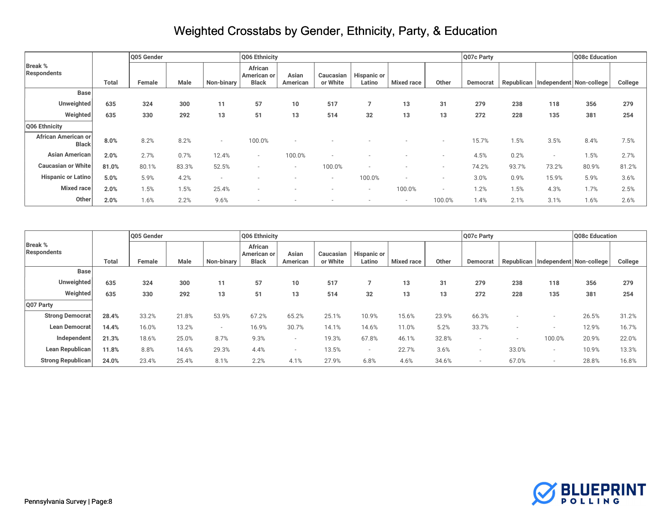| <b>Break %</b><br><b>Respondents</b> |              | Q05 Gender |       |            | Q06 Ethnicity                          |                   |                          |                              | Q07c Party        |                          | Q08c Education |       |                |                                        |         |
|--------------------------------------|--------------|------------|-------|------------|----------------------------------------|-------------------|--------------------------|------------------------------|-------------------|--------------------------|----------------|-------|----------------|----------------------------------------|---------|
|                                      | <b>Total</b> | Female     | Male  | Non-binary | African<br>American or<br><b>Black</b> | Asian<br>American | Caucasian<br>or White    | <b>Hispanic or</b><br>Latino | <b>Mixed race</b> | Other                    | Democrat       |       |                | Republican   Independent   Non-college | College |
| <b>Base</b>                          |              |            |       |            |                                        |                   |                          |                              |                   |                          |                |       |                |                                        |         |
| Unweighted                           | 635          | 324        | 300   | 11         | 57                                     | 10                | 517                      |                              | 13                | 31                       | 279            | 238   | 118            | 356                                    | 279     |
| Weighted                             | 635          | 330        | 292   | 13         | 51                                     | 13                | 514                      | 32                           | 13                | 13                       | 272            | 228   | 135            | 381                                    | 254     |
| Q06 Ethnicity                        |              |            |       |            |                                        |                   |                          |                              |                   |                          |                |       |                |                                        |         |
| African American or<br><b>Black</b>  | 8.0%         | 8.2%       | 8.2%  | $\sim$     | 100.0%                                 |                   |                          |                              |                   |                          | 15.7%          | 1.5%  | 3.5%           | 8.4%                                   | 7.5%    |
| Asian American                       | 2.0%         | 2.7%       | 0.7%  | 12.4%      | $\sim$                                 | 100.0%            |                          |                              |                   |                          | 4.5%           | 0.2%  | $\overline{a}$ | 1.5%                                   | 2.7%    |
| <b>Caucasian or White</b>            | 81.0%        | 80.1%      | 83.3% | 52.5%      |                                        | $\sim$            | 100.0%                   |                              |                   | $\sim$                   | 74.2%          | 93.7% | 73.2%          | 80.9%                                  | 81.2%   |
| <b>Hispanic or Latino</b>            | 5.0%         | 5.9%       | 4.2%  |            |                                        |                   | $\overline{\phantom{a}}$ | 100.0%                       |                   |                          | 3.0%           | 0.9%  | 15.9%          | 5.9%                                   | 3.6%    |
| Mixed race                           | 2.0%         | 1.5%       | 1.5%  | 25.4%      |                                        |                   |                          | $\overline{\phantom{a}}$     | 100.0%            | $\overline{\phantom{a}}$ | 1.2%           | 1.5%  | 4.3%           | 1.7%                                   | 2.5%    |
| Other                                | 2.0%         | 1.6%       | 2.2%  | 9.6%       |                                        |                   |                          |                              | $\sim$            | 100.0%                   | 1.4%           | 2.1%  | 3.1%           | 1.6%                                   | 2.6%    |

|                                      |              | Q05 Gender |       |            |                                        | Q06 Ethnicity     |                       |                              | Q07c Party        |       | Q08c Education           |       |                                        |       |         |
|--------------------------------------|--------------|------------|-------|------------|----------------------------------------|-------------------|-----------------------|------------------------------|-------------------|-------|--------------------------|-------|----------------------------------------|-------|---------|
| <b>Break %</b><br><b>Respondents</b> | <b>Total</b> | Female     | Male  | Non-binary | African<br>American or<br><b>Black</b> | Asian<br>American | Caucasian<br>or White | <b>Hispanic or</b><br>Latino | <b>Mixed race</b> | Other | Democrat                 |       | Republican   Independent   Non-college |       | College |
| <b>Base</b>                          |              |            |       |            |                                        |                   |                       |                              |                   |       |                          |       |                                        |       |         |
| Unweighted                           | 635          | 324        | 300   | 11         | 57                                     | 10                | 517                   |                              | 13                | 31    | 279                      | 238   | 118                                    | 356   | 279     |
| Weighted                             | 635          | 330        | 292   | 13         | 51                                     | 13                | 514                   | 32                           | 13                | 13    | 272                      | 228   | 135                                    | 381   | 254     |
| Q07 Party                            |              |            |       |            |                                        |                   |                       |                              |                   |       |                          |       |                                        |       |         |
| <b>Strong Democrat</b>               | 28.4%        | 33.2%      | 21.8% | 53.9%      | 67.2%                                  | 65.2%             | 25.1%                 | 10.9%                        | 15.6%             | 23.9% | 66.3%                    |       |                                        | 26.5% | 31.2%   |
| Lean Democrat                        | 14.4%        | 16.0%      | 13.2% | $\sim$     | 16.9%                                  | 30.7%             | 14.1%                 | 14.6%                        | 11.0%             | 5.2%  | 33.7%                    |       |                                        | 12.9% | 16.7%   |
| Independent                          | 21.3%        | 18.6%      | 25.0% | 8.7%       | 9.3%                                   |                   | 19.3%                 | 67.8%                        | 46.1%             | 32.8% |                          |       | 100.0%                                 | 20.9% | 22.0%   |
| Lean Republican                      | 11.8%        | 8.8%       | 14.6% | 29.3%      | 4.4%                                   |                   | 13.5%                 | $\overline{\phantom{a}}$     | 22.7%             | 3.6%  | $\overline{\phantom{a}}$ | 33.0% |                                        | 10.9% | 13.3%   |
| <b>Strong Republican</b>             | 24.0%        | 23.4%      | 25.4% | 8.1%       | 2.2%                                   | 4.1%              | 27.9%                 | 6.8%                         | 4.6%              | 34.6% | $\sim$                   | 67.0% | $\overline{a}$                         | 28.8% | 16.8%   |